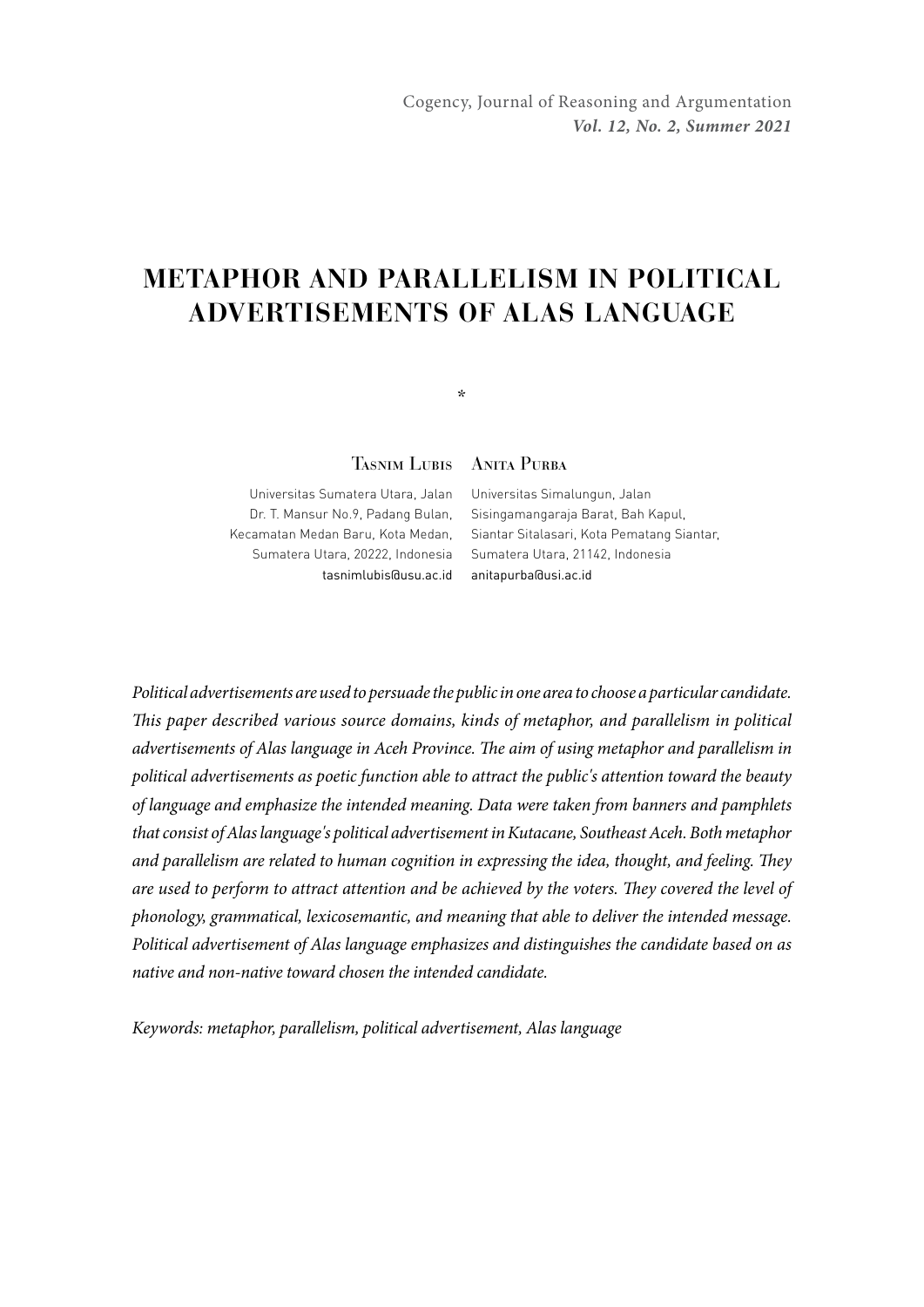# **METAPHOR AND PARALLELISM IN POLITICAL ADVERTISEMENTS OF ALAS LANGUAGE**

\*

Tasnim Lubis Anita Purba

Universitas Sumatera Utara, Jalan Dr. T. Mansur No.9, Padang Bulan, Sumatera Utara, 20222, Indonesia Sumatera Utara, 21142, Indonesia tasnimlubis@usu.ac.id anitapurba@usi.ac.id

Kecamatan Medan Baru, Kota Medan, Siantar Sitalasari, Kota Pematang Siantar, Universitas Simalungun, Jalan Sisingamangaraja Barat, Bah Kapul,

*Political advertisements are used to persuade the public in one area to choose a particular candidate. This paper described various source domains, kinds of metaphor, and parallelism in political advertisements of Alas language in Aceh Province. The aim of using metaphor and parallelism in political advertisements as poetic function able to attract the public's attention toward the beauty of language and emphasize the intended meaning. Data were taken from banners and pamphlets that consist of Alas language's political advertisement in Kutacane, Southeast Aceh. Both metaphor and parallelism are related to human cognition in expressing the idea, thought, and feeling. They are used to perform to attract attention and be achieved by the voters. They covered the level of phonology, grammatical, lexicosemantic, and meaning that able to deliver the intended message. Political advertisement of Alas language emphasizes and distinguishes the candidate based on as native and non-native toward chosen the intended candidate.* 

*Keywords: metaphor, parallelism, political advertisement, Alas language*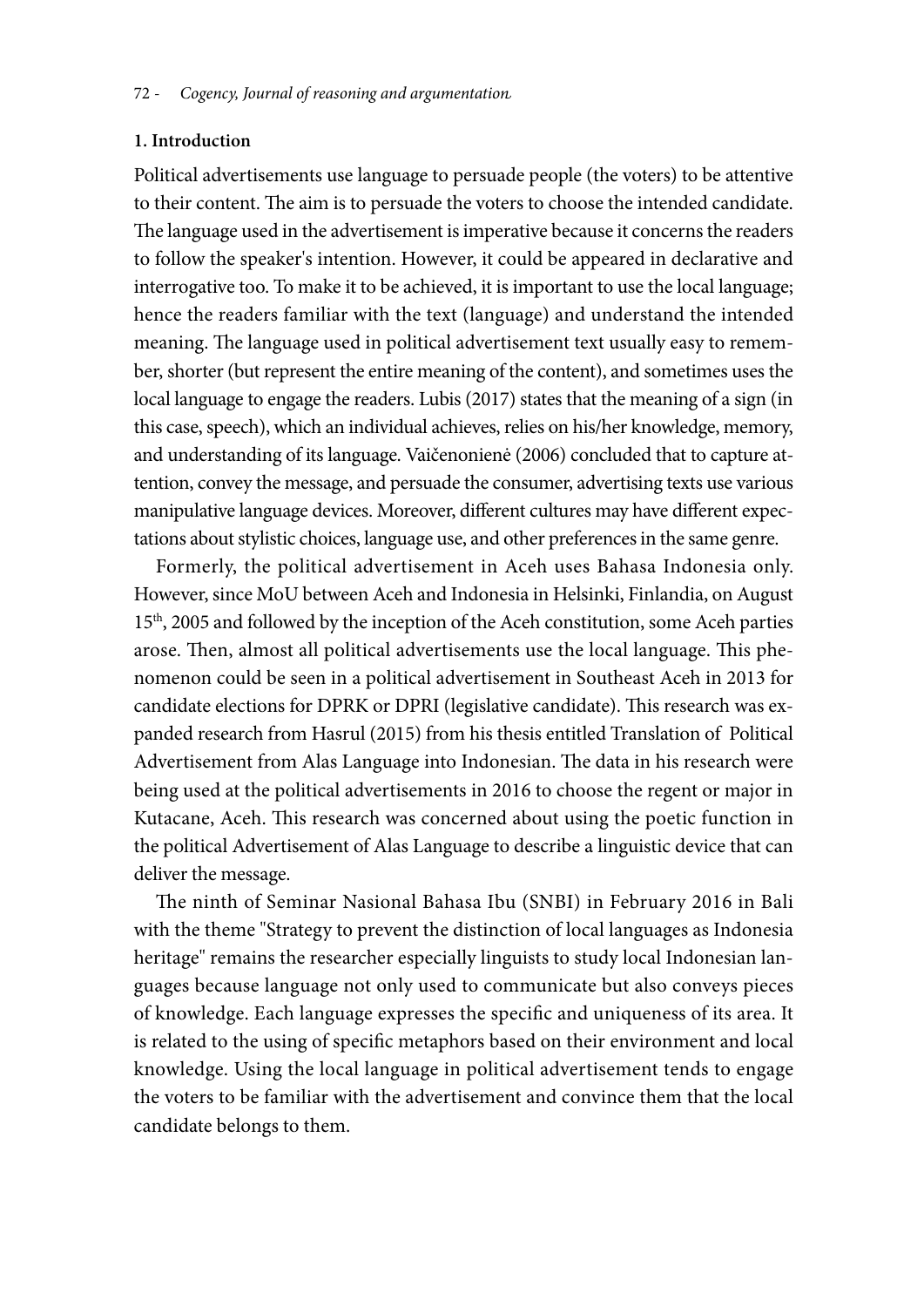#### **1. Introduction**

Political advertisements use language to persuade people (the voters) to be attentive to their content. The aim is to persuade the voters to choose the intended candidate. The language used in the advertisement is imperative because it concerns the readers to follow the speaker's intention. However, it could be appeared in declarative and interrogative too. To make it to be achieved, it is important to use the local language; hence the readers familiar with the text (language) and understand the intended meaning. The language used in political advertisement text usually easy to remember, shorter (but represent the entire meaning of the content), and sometimes uses the local language to engage the readers. Lubis (2017) states that the meaning of a sign (in this case, speech), which an individual achieves, relies on his/her knowledge, memory, and understanding of its language. Vaičenonienė (2006) concluded that to capture attention, convey the message, and persuade the consumer, advertising texts use various manipulative language devices. Moreover, different cultures may have different expectations about stylistic choices, language use, and other preferences in the same genre.

Formerly, the political advertisement in Aceh uses Bahasa Indonesia only. However, since MoU between Aceh and Indonesia in Helsinki, Finlandia, on August 15<sup>th</sup>, 2005 and followed by the inception of the Aceh constitution, some Aceh parties arose. Then, almost all political advertisements use the local language. This phenomenon could be seen in a political advertisement in Southeast Aceh in 2013 for candidate elections for DPRK or DPRI (legislative candidate). This research was expanded research from Hasrul (2015) from his thesis entitled Translation of Political Advertisement from Alas Language into Indonesian. The data in his research were being used at the political advertisements in 2016 to choose the regent or major in Kutacane, Aceh. This research was concerned about using the poetic function in the political Advertisement of Alas Language to describe a linguistic device that can deliver the message.

The ninth of Seminar Nasional Bahasa Ibu (SNBI) in February 2016 in Bali with the theme "Strategy to prevent the distinction of local languages as Indonesia heritage" remains the researcher especially linguists to study local Indonesian languages because language not only used to communicate but also conveys pieces of knowledge. Each language expresses the specific and uniqueness of its area. It is related to the using of specific metaphors based on their environment and local knowledge. Using the local language in political advertisement tends to engage the voters to be familiar with the advertisement and convince them that the local candidate belongs to them.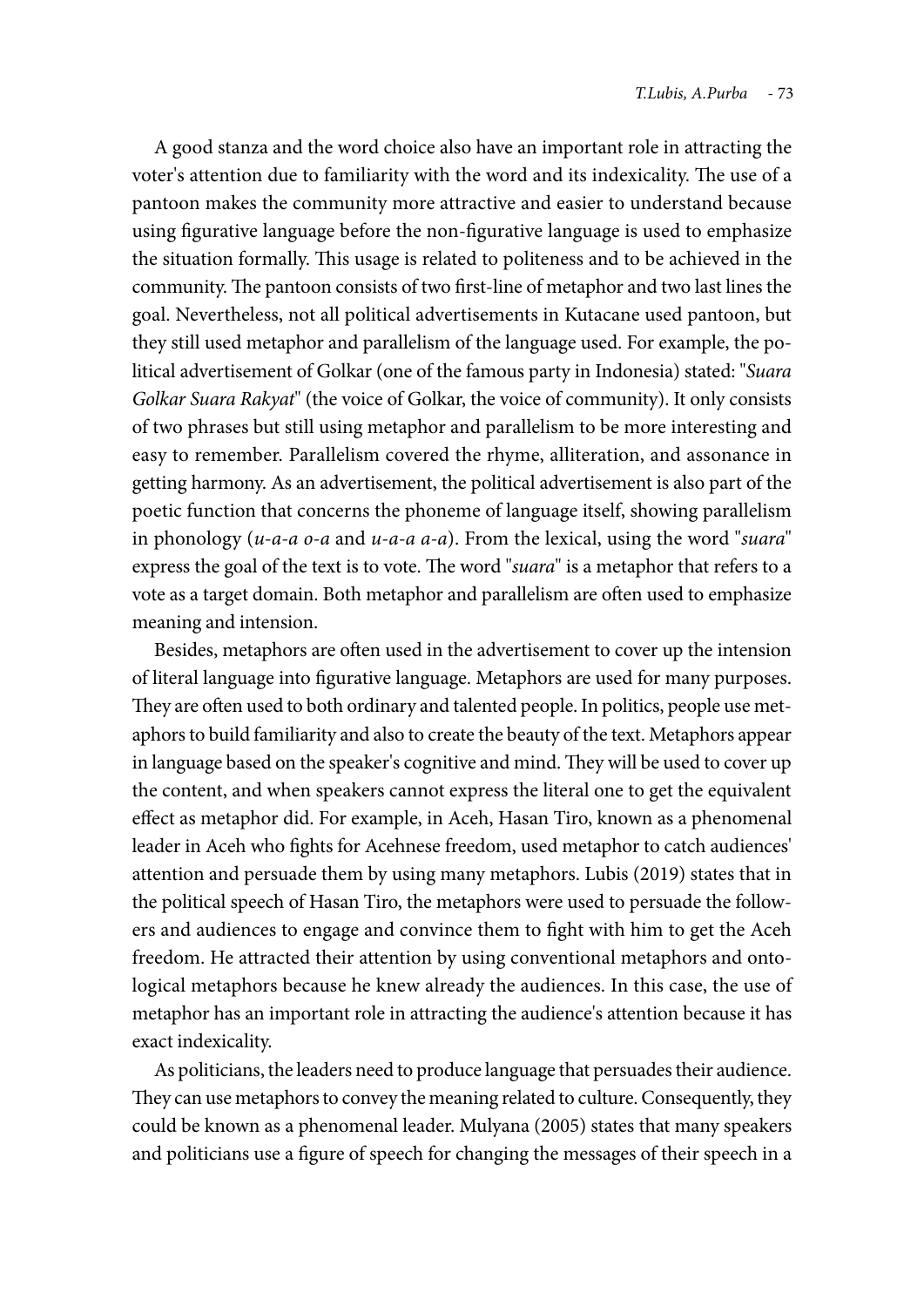A good stanza and the word choice also have an important role in attracting the voter's attention due to familiarity with the word and its indexicality. The use of a pantoon makes the community more attractive and easier to understand because using figurative language before the non-figurative language is used to emphasize the situation formally. This usage is related to politeness and to be achieved in the community. The pantoon consists of two first-line of metaphor and two last lines the goal. Nevertheless, not all political advertisements in Kutacane used pantoon, but they still used metaphor and parallelism of the language used. For example, the political advertisement of Golkar (one of the famous party in Indonesia) stated: "*Suara Golkar Suara Rakyat*" (the voice of Golkar, the voice of community). It only consists of two phrases but still using metaphor and parallelism to be more interesting and easy to remember. Parallelism covered the rhyme, alliteration, and assonance in getting harmony. As an advertisement, the political advertisement is also part of the poetic function that concerns the phoneme of language itself, showing parallelism in phonology (*u-a-a o-a* and *u-a-a a-a*). From the lexical, using the word "*suara*" express the goal of the text is to vote. The word "*suara*" is a metaphor that refers to a vote as a target domain. Both metaphor and parallelism are often used to emphasize meaning and intension.

Besides, metaphors are often used in the advertisement to cover up the intension of literal language into figurative language. Metaphors are used for many purposes. They are often used to both ordinary and talented people. In politics, people use metaphors to build familiarity and also to create the beauty of the text. Metaphors appear in language based on the speaker's cognitive and mind. They will be used to cover up the content, and when speakers cannot express the literal one to get the equivalent effect as metaphor did. For example, in Aceh, Hasan Tiro, known as a phenomenal leader in Aceh who fights for Acehnese freedom, used metaphor to catch audiences' attention and persuade them by using many metaphors. Lubis (2019) states that in the political speech of Hasan Tiro, the metaphors were used to persuade the followers and audiences to engage and convince them to fight with him to get the Aceh freedom. He attracted their attention by using conventional metaphors and ontological metaphors because he knew already the audiences. In this case, the use of metaphor has an important role in attracting the audience's attention because it has exact indexicality.

As politicians, the leaders need to produce language that persuades their audience. They can use metaphors to convey the meaning related to culture. Consequently, they could be known as a phenomenal leader. Mulyana (2005) states that many speakers and politicians use a figure of speech for changing the messages of their speech in a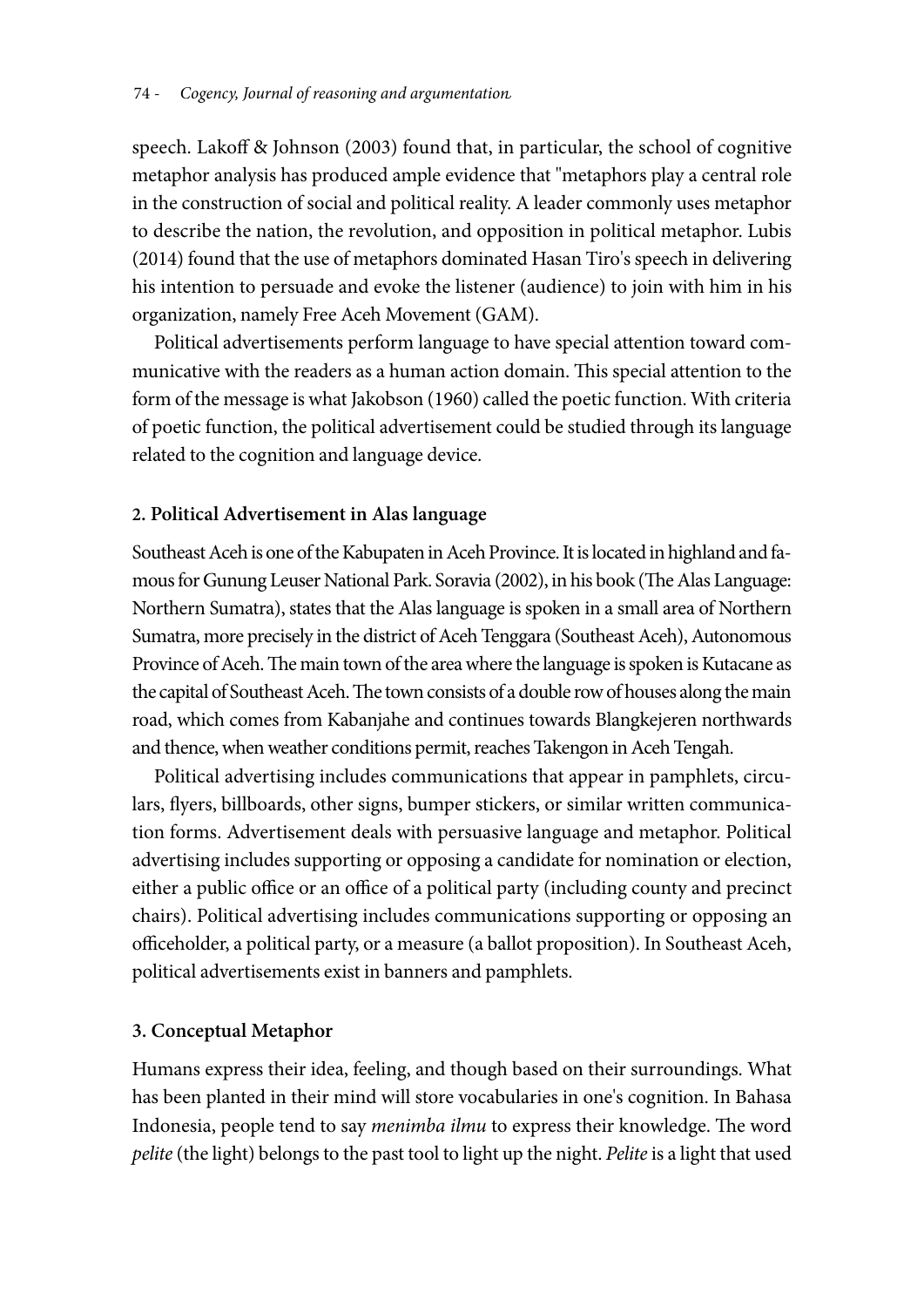speech. Lakoff & Johnson (2003) found that, in particular, the school of cognitive metaphor analysis has produced ample evidence that "metaphors play a central role in the construction of social and political reality. A leader commonly uses metaphor to describe the nation, the revolution, and opposition in political metaphor. Lubis (2014) found that the use of metaphors dominated Hasan Tiro's speech in delivering his intention to persuade and evoke the listener (audience) to join with him in his organization, namely Free Aceh Movement (GAM).

Political advertisements perform language to have special attention toward communicative with the readers as a human action domain. This special attention to the form of the message is what Jakobson (1960) called the poetic function. With criteria of poetic function, the political advertisement could be studied through its language related to the cognition and language device.

## **2. Political Advertisement in Alas language**

Southeast Aceh is one of the Kabupaten in Aceh Province. It is located in highland and famous for Gunung Leuser National Park. Soravia (2002), in his book (The Alas Language: Northern Sumatra), states that the Alas language is spoken in a small area of Northern Sumatra, more precisely in the district of Aceh Tenggara (Southeast Aceh), Autonomous Province of Aceh. The main town of the area where the language is spoken is Kutacane as the capital of Southeast Aceh. The town consists of a double row of houses along the main road, which comes from Kabanjahe and continues towards Blangkejeren northwards and thence, when weather conditions permit, reaches Takengon in Aceh Tengah.

Political advertising includes communications that appear in pamphlets, circulars, flyers, billboards, other signs, bumper stickers, or similar written communication forms. Advertisement deals with persuasive language and metaphor. Political advertising includes supporting or opposing a candidate for nomination or election, either a public office or an office of a political party (including county and precinct chairs). Political advertising includes communications supporting or opposing an officeholder, a political party, or a measure (a ballot proposition). In Southeast Aceh, political advertisements exist in banners and pamphlets.

## **3. Conceptual Metaphor**

Humans express their idea, feeling, and though based on their surroundings. What has been planted in their mind will store vocabularies in one's cognition. In Bahasa Indonesia, people tend to say *menimba ilmu* to express their knowledge. The word *pelite* (the light) belongs to the past tool to light up the night. *Pelite* is a light that used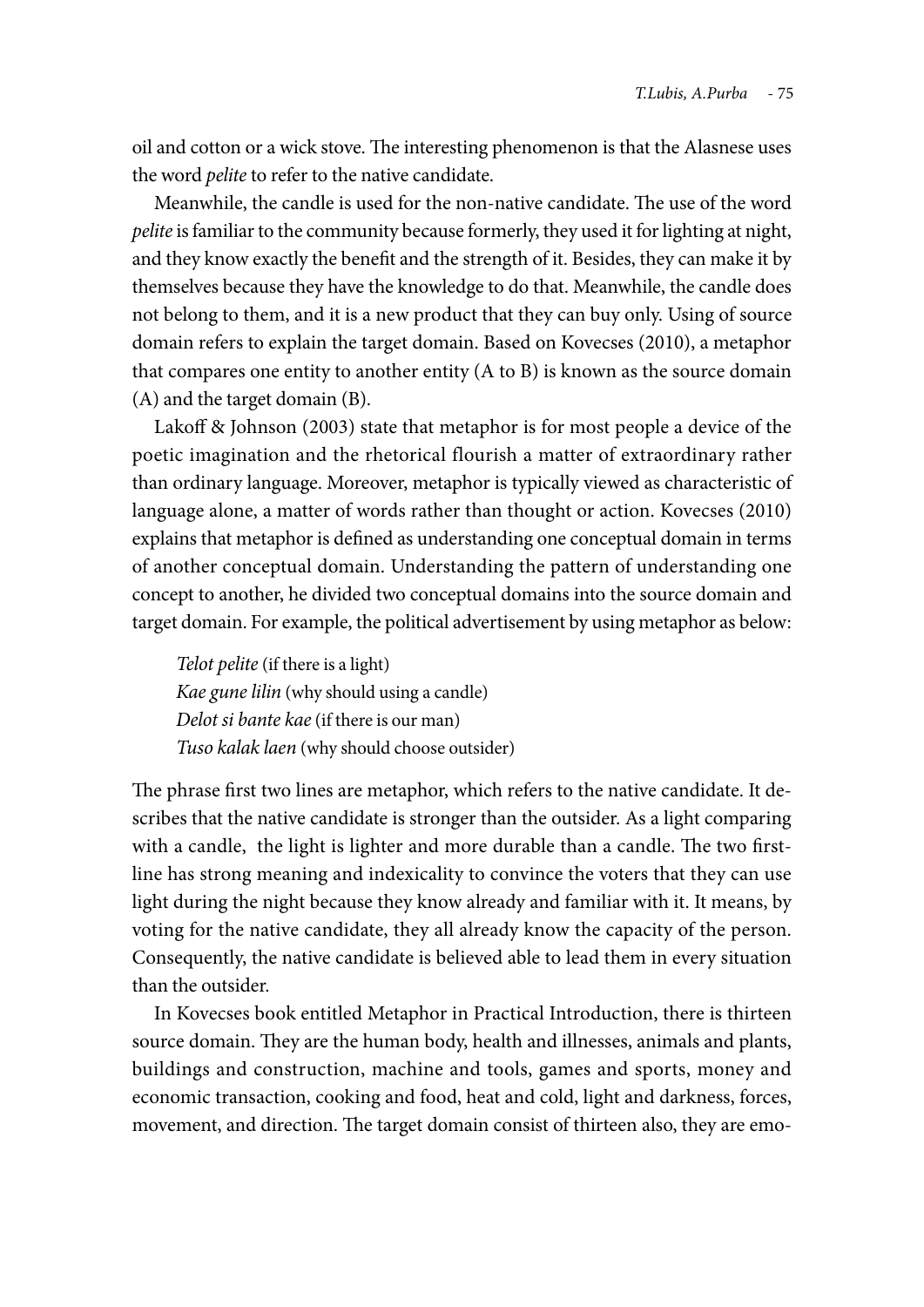oil and cotton or a wick stove. The interesting phenomenon is that the Alasnese uses the word *pelite* to refer to the native candidate.

Meanwhile, the candle is used for the non-native candidate. The use of the word *pelite* is familiar to the community because formerly, they used it for lighting at night, and they know exactly the benefit and the strength of it. Besides, they can make it by themselves because they have the knowledge to do that. Meanwhile, the candle does not belong to them, and it is a new product that they can buy only. Using of source domain refers to explain the target domain. Based on Kovecses (2010), a metaphor that compares one entity to another entity (A to B) is known as the source domain (A) and the target domain (B).

Lakoff & Johnson (2003) state that metaphor is for most people a device of the poetic imagination and the rhetorical flourish a matter of extraordinary rather than ordinary language. Moreover, metaphor is typically viewed as characteristic of language alone, a matter of words rather than thought or action. Kovecses (2010) explains that metaphor is defined as understanding one conceptual domain in terms of another conceptual domain. Understanding the pattern of understanding one concept to another, he divided two conceptual domains into the source domain and target domain. For example, the political advertisement by using metaphor as below:

*Telot pelite* (if there is a light) *Kae gune lilin* (why should using a candle) *Delot si bante kae* (if there is our man) *Tuso kalak laen* (why should choose outsider)

The phrase first two lines are metaphor, which refers to the native candidate. It describes that the native candidate is stronger than the outsider. As a light comparing with a candle, the light is lighter and more durable than a candle. The two firstline has strong meaning and indexicality to convince the voters that they can use light during the night because they know already and familiar with it. It means, by voting for the native candidate, they all already know the capacity of the person. Consequently, the native candidate is believed able to lead them in every situation than the outsider.

In Kovecses book entitled Metaphor in Practical Introduction, there is thirteen source domain. They are the human body, health and illnesses, animals and plants, buildings and construction, machine and tools, games and sports, money and economic transaction, cooking and food, heat and cold, light and darkness, forces, movement, and direction. The target domain consist of thirteen also, they are emo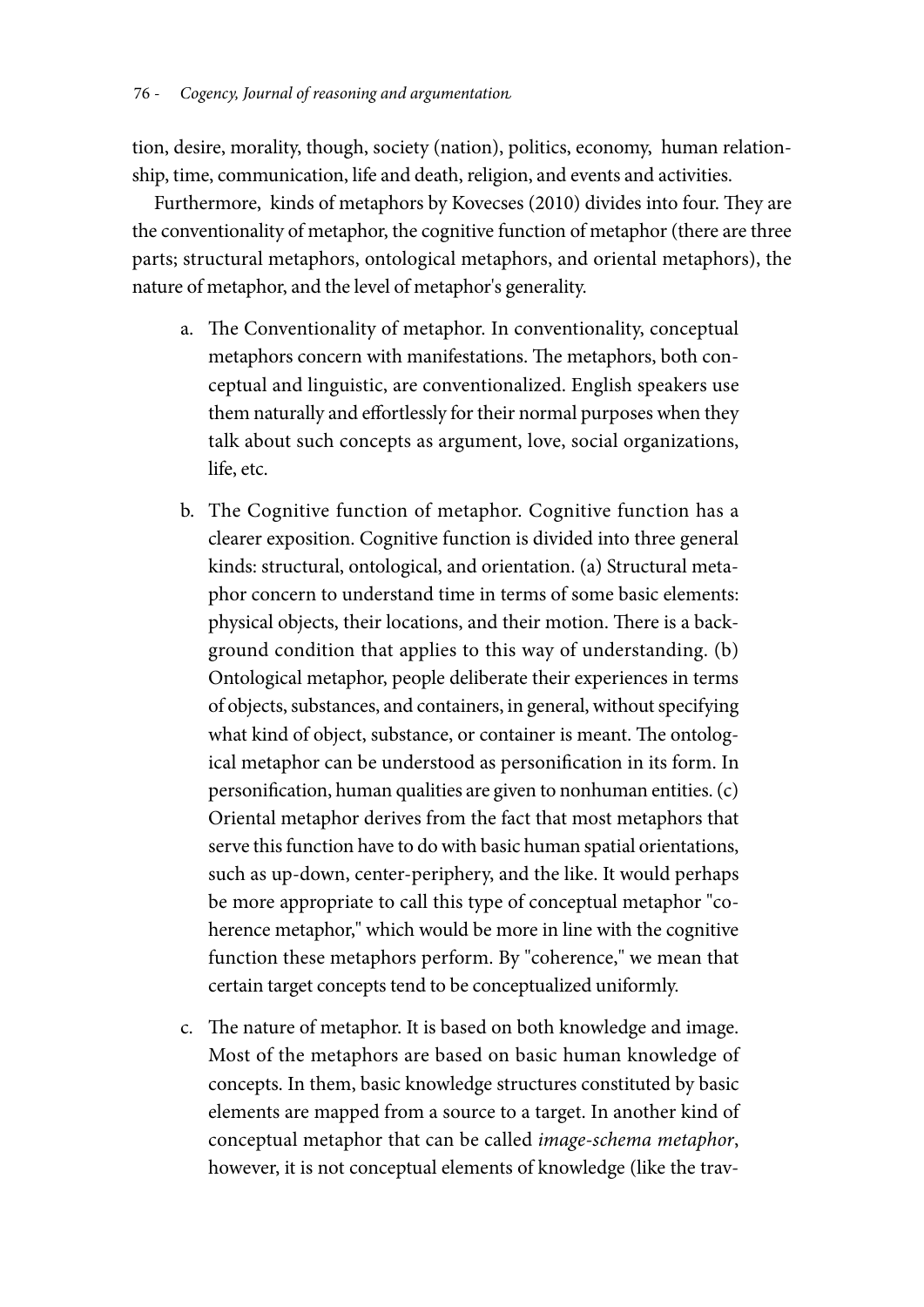tion, desire, morality, though, society (nation), politics, economy, human relationship, time, communication, life and death, religion, and events and activities.

Furthermore, kinds of metaphors by Kovecses (2010) divides into four. They are the conventionality of metaphor, the cognitive function of metaphor (there are three parts; structural metaphors, ontological metaphors, and oriental metaphors), the nature of metaphor, and the level of metaphor's generality.

- a. The Conventionality of metaphor. In conventionality, conceptual metaphors concern with manifestations. The metaphors, both conceptual and linguistic, are conventionalized. English speakers use them naturally and effortlessly for their normal purposes when they talk about such concepts as argument, love, social organizations, life, etc.
- b. The Cognitive function of metaphor. Cognitive function has a clearer exposition. Cognitive function is divided into three general kinds: structural, ontological, and orientation. (a) Structural metaphor concern to understand time in terms of some basic elements: physical objects, their locations, and their motion. There is a background condition that applies to this way of understanding. (b) Ontological metaphor, people deliberate their experiences in terms of objects, substances, and containers, in general, without specifying what kind of object, substance, or container is meant. The ontological metaphor can be understood as personification in its form. In personification, human qualities are given to nonhuman entities. (c) Oriental metaphor derives from the fact that most metaphors that serve this function have to do with basic human spatial orientations, such as up-down, center-periphery, and the like. It would perhaps be more appropriate to call this type of conceptual metaphor "coherence metaphor," which would be more in line with the cognitive function these metaphors perform. By "coherence," we mean that certain target concepts tend to be conceptualized uniformly.
- c. The nature of metaphor. It is based on both knowledge and image. Most of the metaphors are based on basic human knowledge of concepts. In them, basic knowledge structures constituted by basic elements are mapped from a source to a target. In another kind of conceptual metaphor that can be called *image-schema metaphor*, however, it is not conceptual elements of knowledge (like the trav-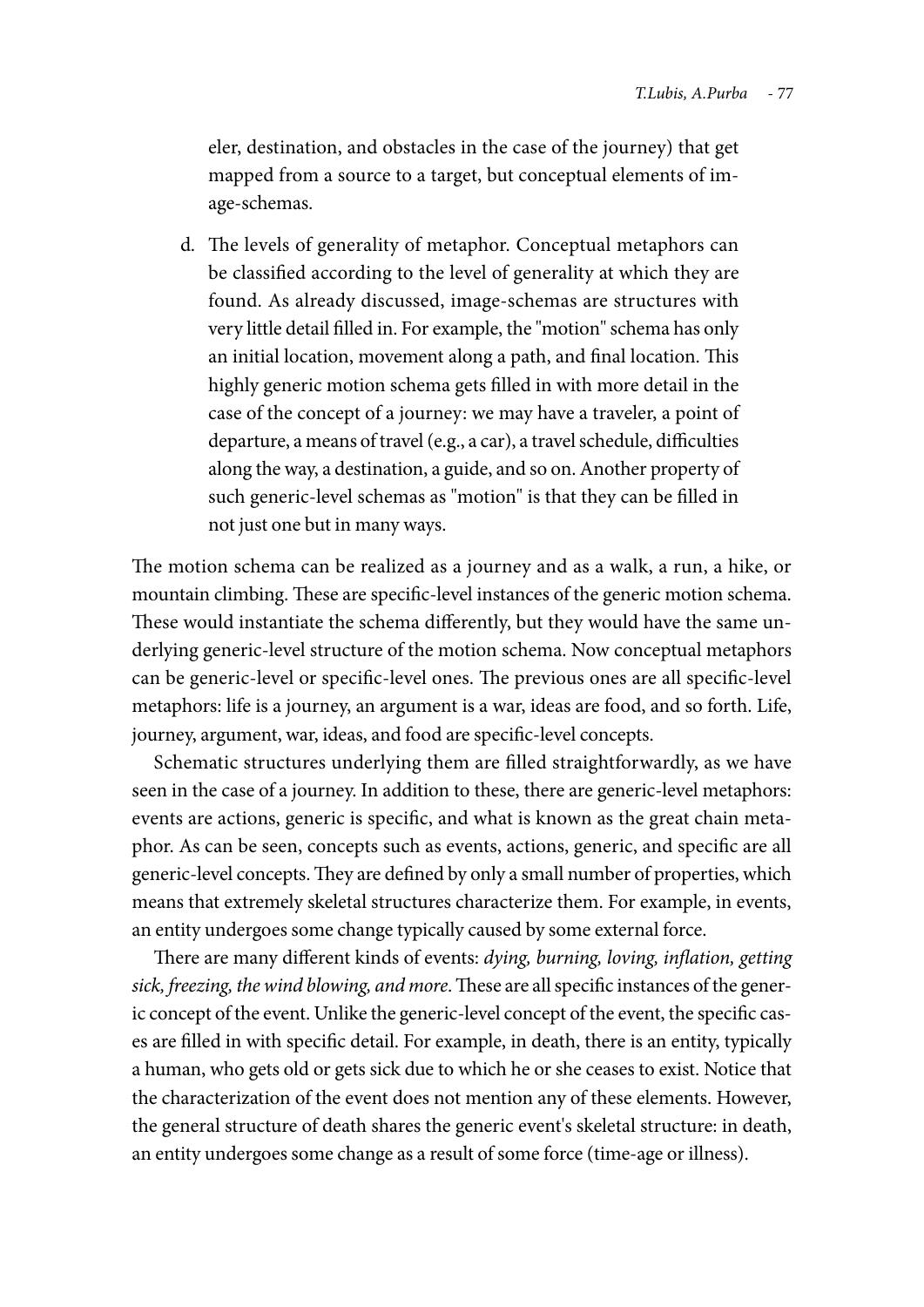eler, destination, and obstacles in the case of the journey) that get mapped from a source to a target, but conceptual elements of image-schemas.

d. The levels of generality of metaphor. Conceptual metaphors can be classified according to the level of generality at which they are found. As already discussed, image-schemas are structures with very little detail filled in. For example, the "motion" schema has only an initial location, movement along a path, and final location. This highly generic motion schema gets filled in with more detail in the case of the concept of a journey: we may have a traveler, a point of departure, a means of travel (e.g., a car), a travel schedule, difficulties along the way, a destination, a guide, and so on. Another property of such generic-level schemas as "motion" is that they can be filled in not just one but in many ways.

The motion schema can be realized as a journey and as a walk, a run, a hike, or mountain climbing. These are specific-level instances of the generic motion schema. These would instantiate the schema differently, but they would have the same underlying generic-level structure of the motion schema. Now conceptual metaphors can be generic-level or specific-level ones. The previous ones are all specific-level metaphors: life is a journey, an argument is a war, ideas are food, and so forth. Life, journey, argument, war, ideas, and food are specific-level concepts.

Schematic structures underlying them are filled straightforwardly, as we have seen in the case of a journey. In addition to these, there are generic-level metaphors: events are actions, generic is specific, and what is known as the great chain metaphor. As can be seen, concepts such as events, actions, generic, and specific are all generic-level concepts. They are defined by only a small number of properties, which means that extremely skeletal structures characterize them. For example, in events, an entity undergoes some change typically caused by some external force.

There are many different kinds of events: *dying, burning, loving, inflation, getting sick, freezing, the wind blowing, and more*. These are all specific instances of the generic concept of the event. Unlike the generic-level concept of the event, the specific cases are filled in with specific detail. For example, in death, there is an entity, typically a human, who gets old or gets sick due to which he or she ceases to exist. Notice that the characterization of the event does not mention any of these elements. However, the general structure of death shares the generic event's skeletal structure: in death, an entity undergoes some change as a result of some force (time-age or illness).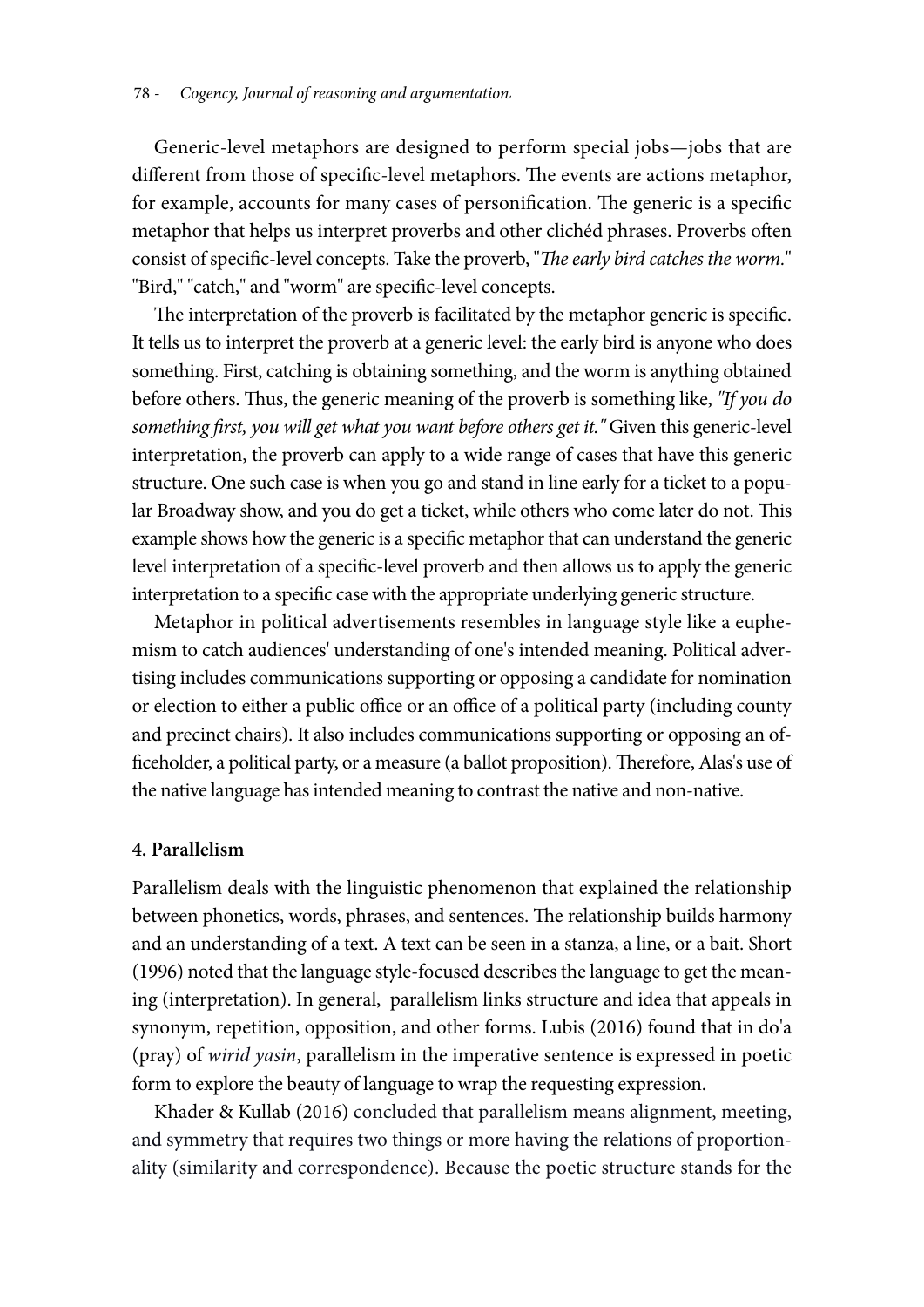Generic-level metaphors are designed to perform special jobs—jobs that are different from those of specific-level metaphors. The events are actions metaphor, for example, accounts for many cases of personification. The generic is a specific metaphor that helps us interpret proverbs and other clichéd phrases. Proverbs often consist of specific-level concepts. Take the proverb, "*The early bird catches the worm.*" "Bird," "catch," and "worm" are specific-level concepts.

The interpretation of the proverb is facilitated by the metaphor generic is specific. It tells us to interpret the proverb at a generic level: the early bird is anyone who does something. First, catching is obtaining something, and the worm is anything obtained before others. Thus, the generic meaning of the proverb is something like, *"If you do something first, you will get what you want before others get it."* Given this generic-level interpretation, the proverb can apply to a wide range of cases that have this generic structure. One such case is when you go and stand in line early for a ticket to a popular Broadway show, and you do get a ticket, while others who come later do not. This example shows how the generic is a specific metaphor that can understand the generic level interpretation of a specific-level proverb and then allows us to apply the generic interpretation to a specific case with the appropriate underlying generic structure.

Metaphor in political advertisements resembles in language style like a euphemism to catch audiences' understanding of one's intended meaning. Political advertising includes communications supporting or opposing a candidate for nomination or election to either a public office or an office of a political party (including county and precinct chairs). It also includes communications supporting or opposing an officeholder, a political party, or a measure (a ballot proposition). Therefore, Alas's use of the native language has intended meaning to contrast the native and non-native.

## **4. Parallelism**

Parallelism deals with the linguistic phenomenon that explained the relationship between phonetics, words, phrases, and sentences. The relationship builds harmony and an understanding of a text. A text can be seen in a stanza, a line, or a bait. Short (1996) noted that the language style-focused describes the language to get the meaning (interpretation). In general, parallelism links structure and idea that appeals in synonym, repetition, opposition, and other forms. Lubis (2016) found that in do'a (pray) of *wirid yasin*, parallelism in the imperative sentence is expressed in poetic form to explore the beauty of language to wrap the requesting expression.

Khader & Kullab (2016) concluded that parallelism means alignment, meeting, and symmetry that requires two things or more having the relations of proportionality (similarity and correspondence). Because the poetic structure stands for the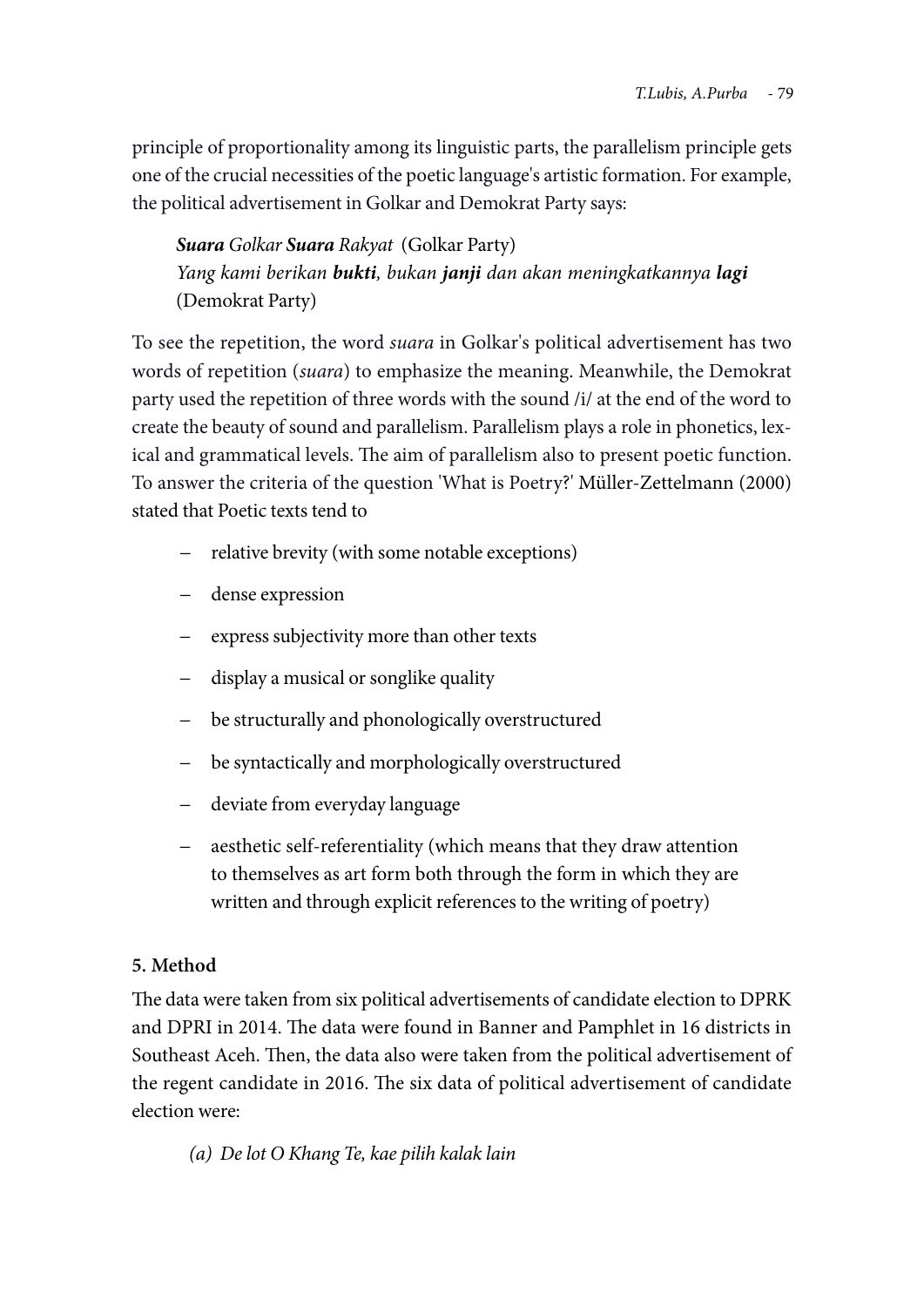principle of proportionality among its linguistic parts, the parallelism principle gets one of the crucial necessities of the poetic language's artistic formation. For example, the political advertisement in Golkar and Demokrat Party says:

*Suara Golkar Suara Rakyat* (Golkar Party) *Yang kami berikan bukti, bukan janji dan akan meningkatkannya lagi* (Demokrat Party)

To see the repetition, the word *suara* in Golkar's political advertisement has two words of repetition (*suara*) to emphasize the meaning. Meanwhile, the Demokrat party used the repetition of three words with the sound /i/ at the end of the word to create the beauty of sound and parallelism. Parallelism plays a role in phonetics, lexical and grammatical levels. The aim of parallelism also to present poetic function. To answer the criteria of the question 'What is Poetry?' Müller-Zettelmann (2000) stated that Poetic texts tend to

- relative brevity (with some notable exceptions)
- dense expression
- express subjectivity more than other texts
- display a musical or songlike quality
- be structurally and phonologically overstructured
- be syntactically and morphologically overstructured
- deviate from everyday language
- aesthetic self-referentiality (which means that they draw attention to themselves as art form both through the form in which they are written and through explicit references to the writing of poetry)

# **5. Method**

The data were taken from six political advertisements of candidate election to DPRK and DPRI in 2014. The data were found in Banner and Pamphlet in 16 districts in Southeast Aceh. Then, the data also were taken from the political advertisement of the regent candidate in 2016. The six data of political advertisement of candidate election were:

*(a) De lot O Khang Te, kae pilih kalak lain*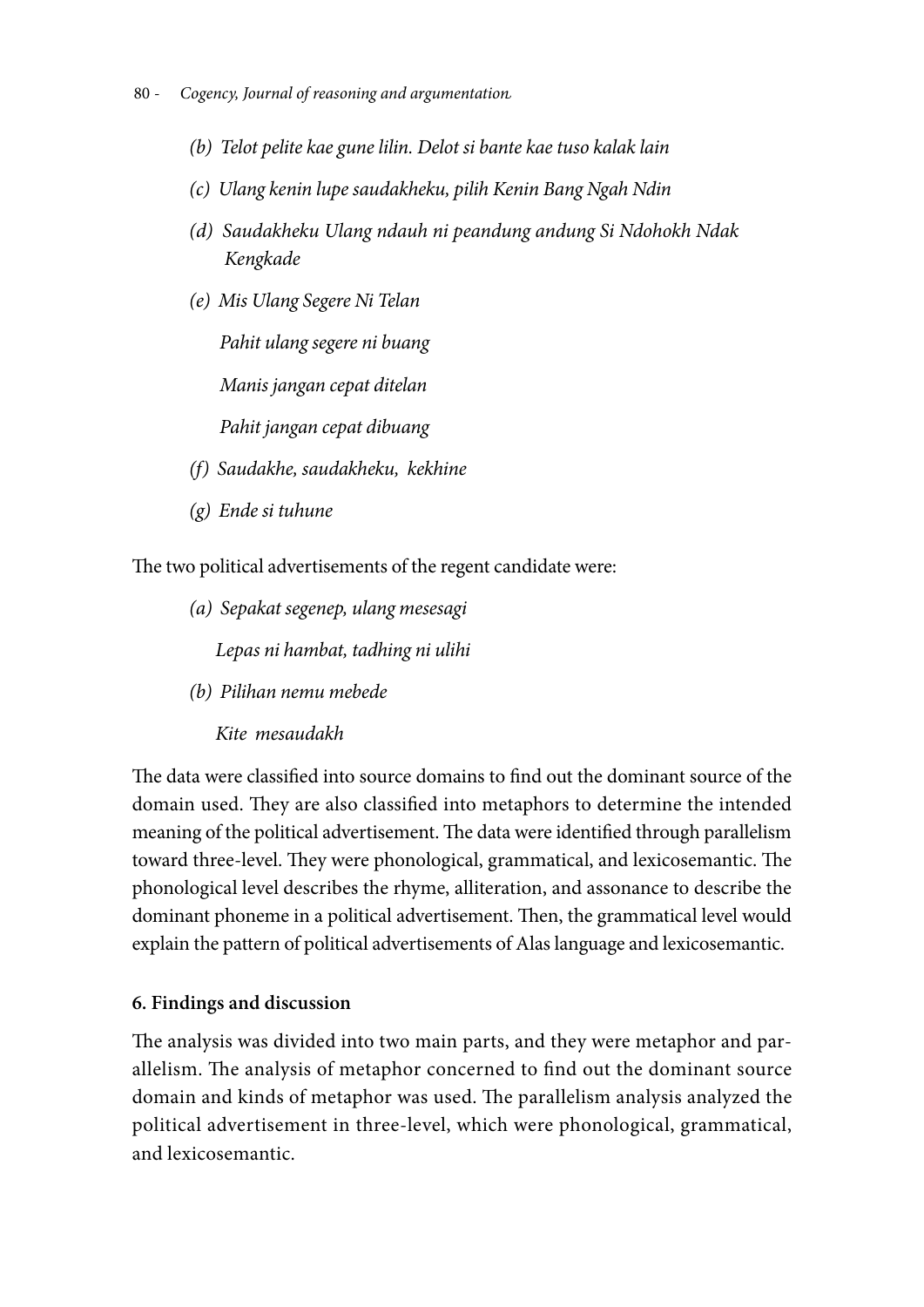- 80 *Cogency, Journal of reasoning and argumentation*
	- *(b) Telot pelite kae gune lilin. Delot si bante kae tuso kalak lain*
	- *(c) Ulang kenin lupe saudakheku, pilih Kenin Bang Ngah Ndin*
	- *(d) Saudakheku Ulang ndauh ni peandung andung Si Ndohokh Ndak Kengkade*
	- *(e) Mis Ulang Segere Ni Telan Pahit ulang segere ni buang Manis jangan cepat ditelan Pahit jangan cepat dibuang*
	- *(f) Saudakhe, saudakheku, kekhine*
	- *(g) Ende si tuhune*

The two political advertisements of the regent candidate were:

*(a) Sepakat segenep, ulang mesesagi*

*Lepas ni hambat, tadhing ni ulihi*

*(b) Pilihan nemu mebede*

*Kite mesaudakh*

The data were classified into source domains to find out the dominant source of the domain used. They are also classified into metaphors to determine the intended meaning of the political advertisement. The data were identified through parallelism toward three-level. They were phonological, grammatical, and lexicosemantic. The phonological level describes the rhyme, alliteration, and assonance to describe the dominant phoneme in a political advertisement. Then, the grammatical level would explain the pattern of political advertisements of Alas language and lexicosemantic.

# **6. Findings and discussion**

The analysis was divided into two main parts, and they were metaphor and parallelism. The analysis of metaphor concerned to find out the dominant source domain and kinds of metaphor was used. The parallelism analysis analyzed the political advertisement in three-level, which were phonological, grammatical, and lexicosemantic.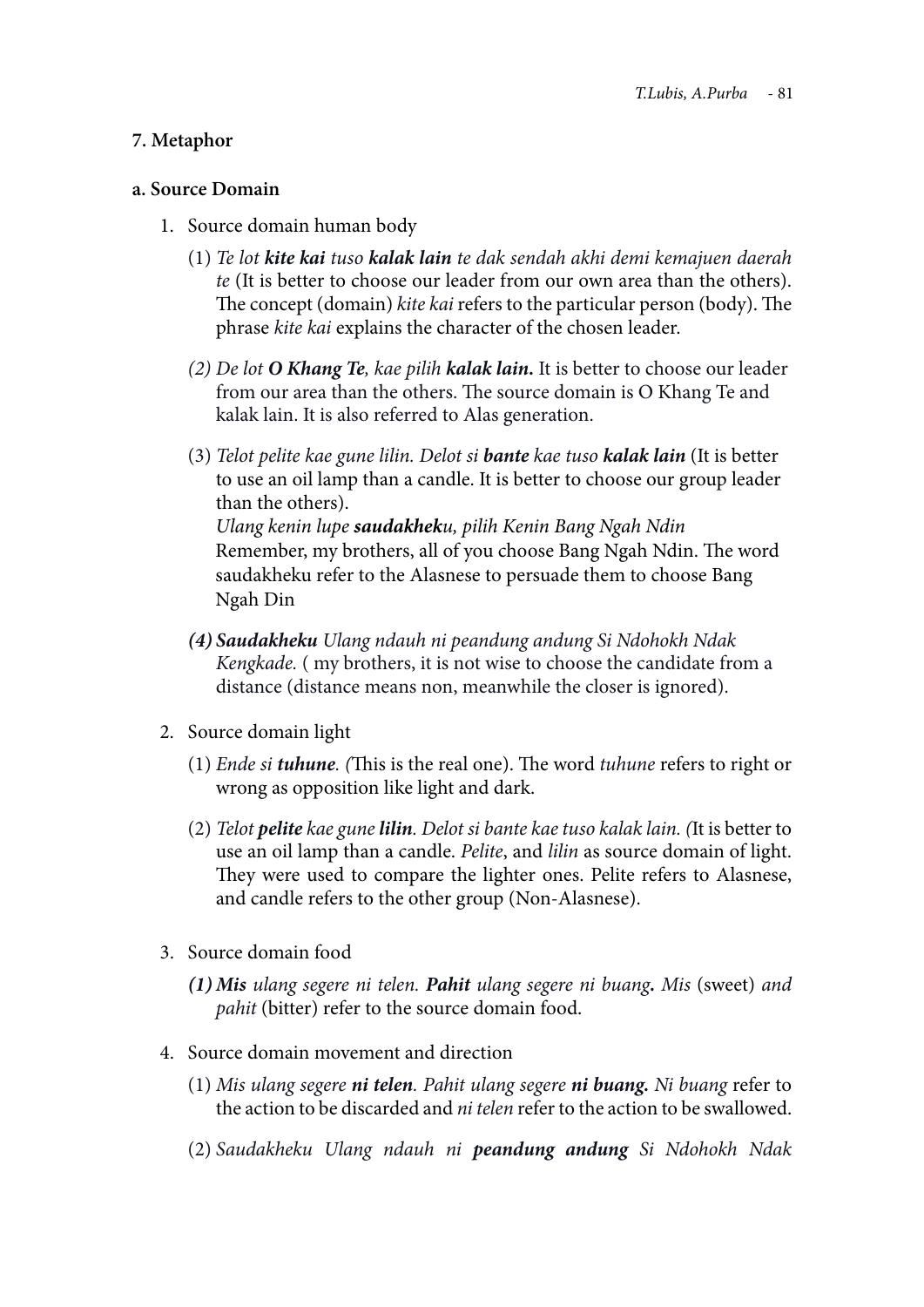# **7. Metaphor**

# **a. Source Domain**

- 1. Source domain human body
	- (1) *Te lot kite kai tuso kalak lain te dak sendah akhi demi kemajuen daerah te* (It is better to choose our leader from our own area than the others). The concept (domain) *kite kai* refers to the particular person (body). The phrase *kite kai* explains the character of the chosen leader.
	- *(2) De lot O Khang Te, kae pilih kalak lain.* It is better to choose our leader from our area than the others. The source domain is O Khang Te and kalak lain. It is also referred to Alas generation.
	- (3) *Telot pelite kae gune lilin. Delot si bante kae tuso kalak lain* (It is better to use an oil lamp than a candle. It is better to choose our group leader than the others). *Ulang kenin lupe saudakheku, pilih Kenin Bang Ngah Ndin* Remember, my brothers, all of you choose Bang Ngah Ndin. The word saudakheku refer to the Alasnese to persuade them to choose Bang
		- Ngah Din
	- *(4) Saudakheku Ulang ndauh ni peandung andung Si Ndohokh Ndak Kengkade.* ( my brothers, it is not wise to choose the candidate from a distance (distance means non, meanwhile the closer is ignored).
- 2. Source domain light
	- (1) *Ende si tuhune. (*This is the real one). The word *tuhune* refers to right or wrong as opposition like light and dark.
	- (2) *Telot pelite kae gune lilin. Delot si bante kae tuso kalak lain. (*It is better to use an oil lamp than a candle. *Pelite*, and *lilin* as source domain of light. They were used to compare the lighter ones. Pelite refers to Alasnese, and candle refers to the other group (Non-Alasnese).
- 3. Source domain food
	- *(1) Mis ulang segere ni telen. Pahit ulang segere ni buang. Mis* (sweet) *and pahit* (bitter) refer to the source domain food.
- 4. Source domain movement and direction
	- (1) *Mis ulang segere ni telen. Pahit ulang segere ni buang. Ni buang* refer to the action to be discarded and *ni telen* refer to the action to be swallowed.
	- (2) *Saudakheku Ulang ndauh ni peandung andung Si Ndohokh Ndak*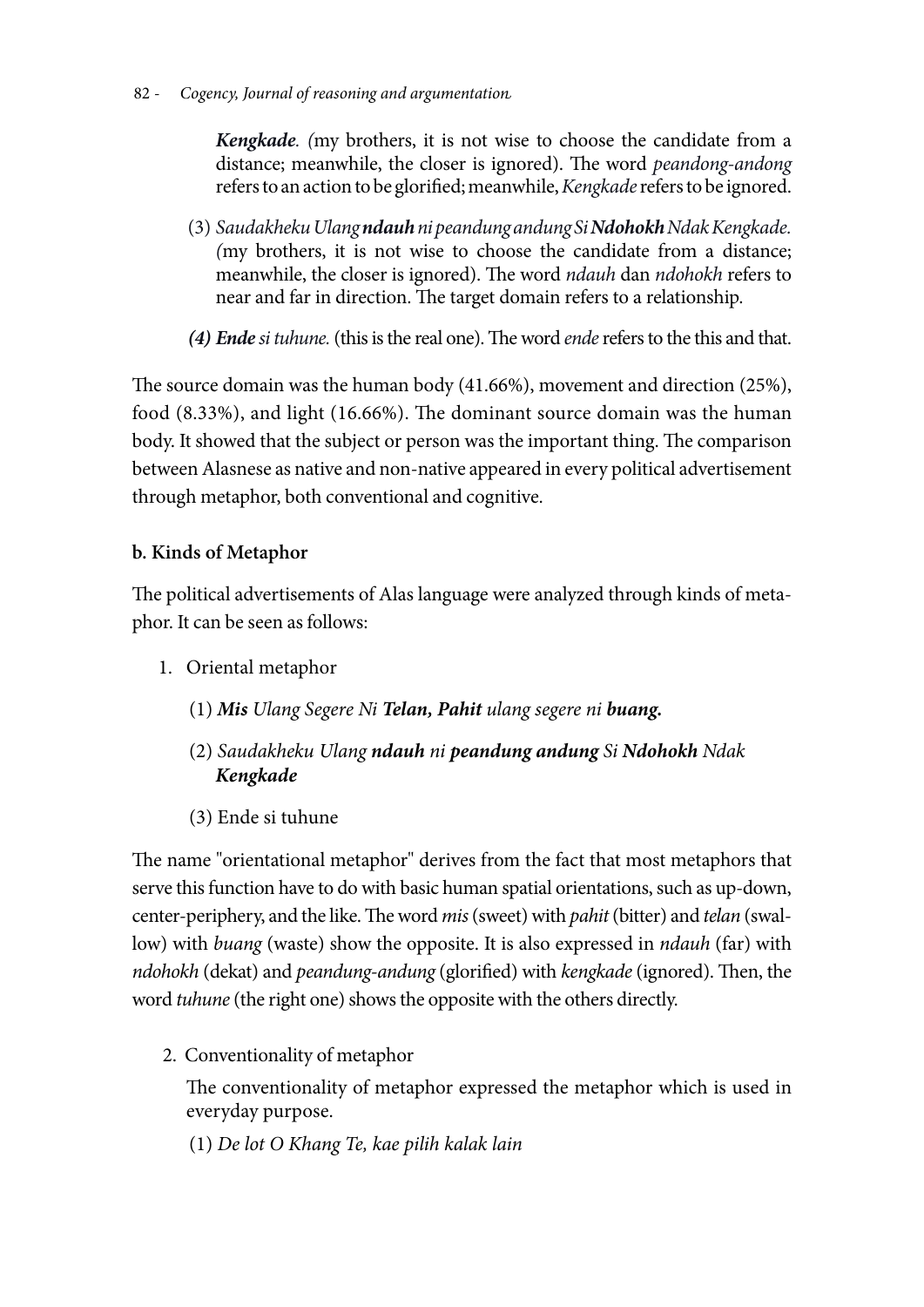82 - *Cogency, Journal of reasoning and argumentation*

*Kengkade. (*my brothers, it is not wise to choose the candidate from a distance; meanwhile, the closer is ignored). The word *peandong-andong* refers to an action to be glorified; meanwhile, *Kengkade* refers to be ignored.

- (3) *Saudakheku Ulang ndauh ni peandung andung Si Ndohokh Ndak Kengkade. (*my brothers, it is not wise to choose the candidate from a distance; meanwhile, the closer is ignored). The word *ndauh* dan *ndohokh* refers to near and far in direction. The target domain refers to a relationship.
- *(4) Ende si tuhune.* (this is the real one). The word *ende* refers to the this and that.

The source domain was the human body (41.66%), movement and direction (25%), food (8.33%), and light (16.66%). The dominant source domain was the human body. It showed that the subject or person was the important thing. The comparison between Alasnese as native and non-native appeared in every political advertisement through metaphor, both conventional and cognitive.

# **b. Kinds of Metaphor**

The political advertisements of Alas language were analyzed through kinds of metaphor. It can be seen as follows:

- 1. Oriental metaphor
	- (1) *Mis Ulang Segere Ni Telan, Pahit ulang segere ni buang.*
	- (2) *Saudakheku Ulang ndauh ni peandung andung Si Ndohokh Ndak Kengkade*
	- (3) Ende si tuhune

The name "orientational metaphor" derives from the fact that most metaphors that serve this function have to do with basic human spatial orientations, such as up-down, center-periphery, and the like. The word *mis* (sweet) with *pahit* (bitter) and *telan* (swallow) with *buang* (waste) show the opposite. It is also expressed in *ndauh* (far) with *ndohokh* (dekat) and *peandung-andung* (glorified) with *kengkade* (ignored). Then, the word *tuhune* (the right one) shows the opposite with the others directly.

2. Conventionality of metaphor

The conventionality of metaphor expressed the metaphor which is used in everyday purpose.

(1) *De lot O Khang Te, kae pilih kalak lain*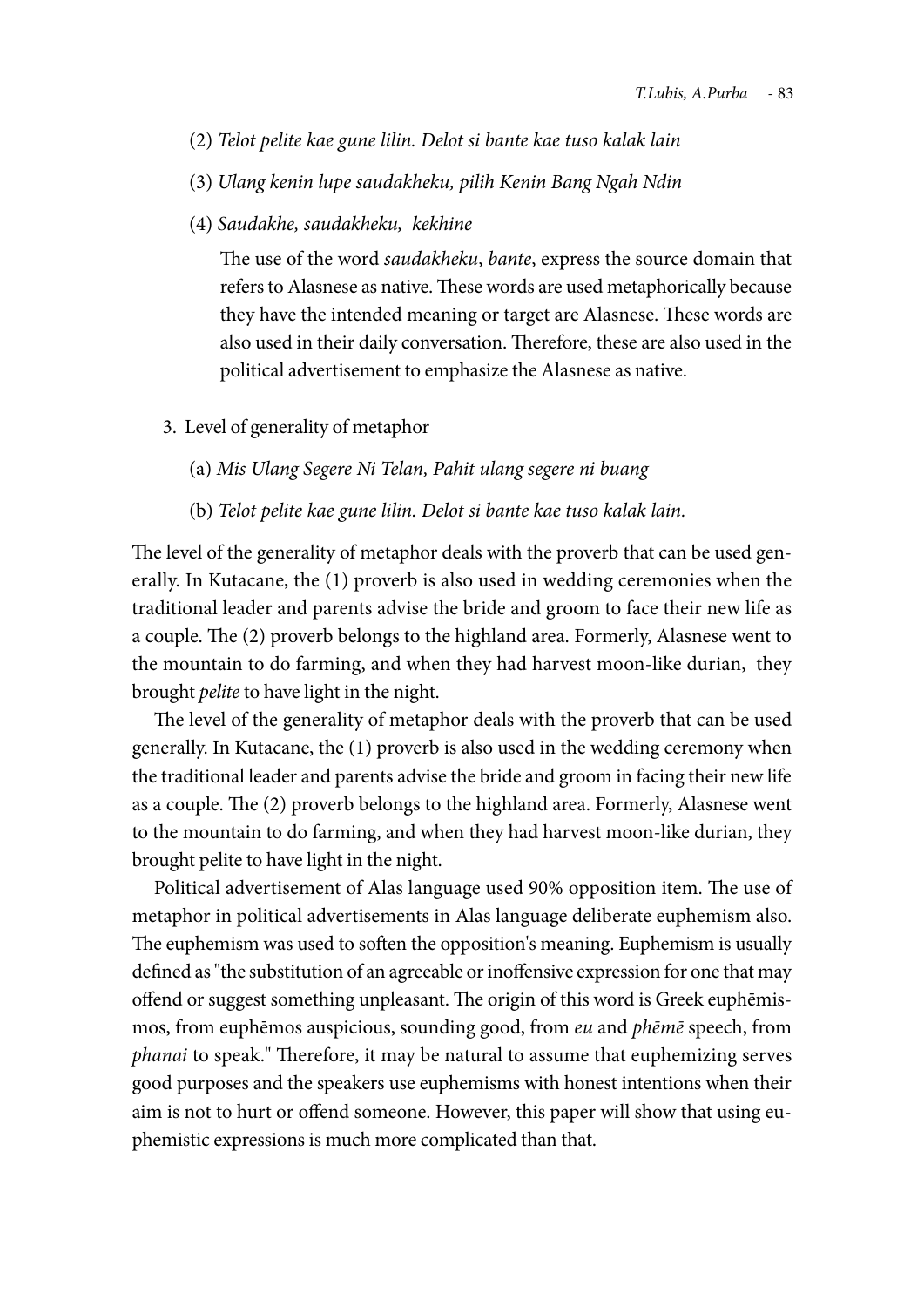- (2) *Telot pelite kae gune lilin. Delot si bante kae tuso kalak lain*
- (3) *Ulang kenin lupe saudakheku, pilih Kenin Bang Ngah Ndin*
- (4) *Saudakhe, saudakheku, kekhine*

The use of the word *saudakheku*, *bante*, express the source domain that refers to Alasnese as native. These words are used metaphorically because they have the intended meaning or target are Alasnese. These words are also used in their daily conversation. Therefore, these are also used in the political advertisement to emphasize the Alasnese as native.

- 3. Level of generality of metaphor
	- (a) *Mis Ulang Segere Ni Telan, Pahit ulang segere ni buang*
	- (b) *Telot pelite kae gune lilin. Delot si bante kae tuso kalak lain.*

The level of the generality of metaphor deals with the proverb that can be used generally. In Kutacane, the (1) proverb is also used in wedding ceremonies when the traditional leader and parents advise the bride and groom to face their new life as a couple. The (2) proverb belongs to the highland area. Formerly, Alasnese went to the mountain to do farming, and when they had harvest moon-like durian, they brought *pelite* to have light in the night.

The level of the generality of metaphor deals with the proverb that can be used generally. In Kutacane, the (1) proverb is also used in the wedding ceremony when the traditional leader and parents advise the bride and groom in facing their new life as a couple. The (2) proverb belongs to the highland area. Formerly, Alasnese went to the mountain to do farming, and when they had harvest moon-like durian, they brought pelite to have light in the night.

Political advertisement of Alas language used 90% opposition item. The use of metaphor in political advertisements in Alas language deliberate euphemism also. The euphemism was used to soften the opposition's meaning. Euphemism is usually defined as "the substitution of an agreeable or inoffensive expression for one that may offend or suggest something unpleasant. The origin of this word is Greek euphēmismos, from euphēmos auspicious, sounding good, from *eu* and *phēmē* speech, from *phanai* to speak." Therefore, it may be natural to assume that euphemizing serves good purposes and the speakers use euphemisms with honest intentions when their aim is not to hurt or offend someone. However, this paper will show that using euphemistic expressions is much more complicated than that.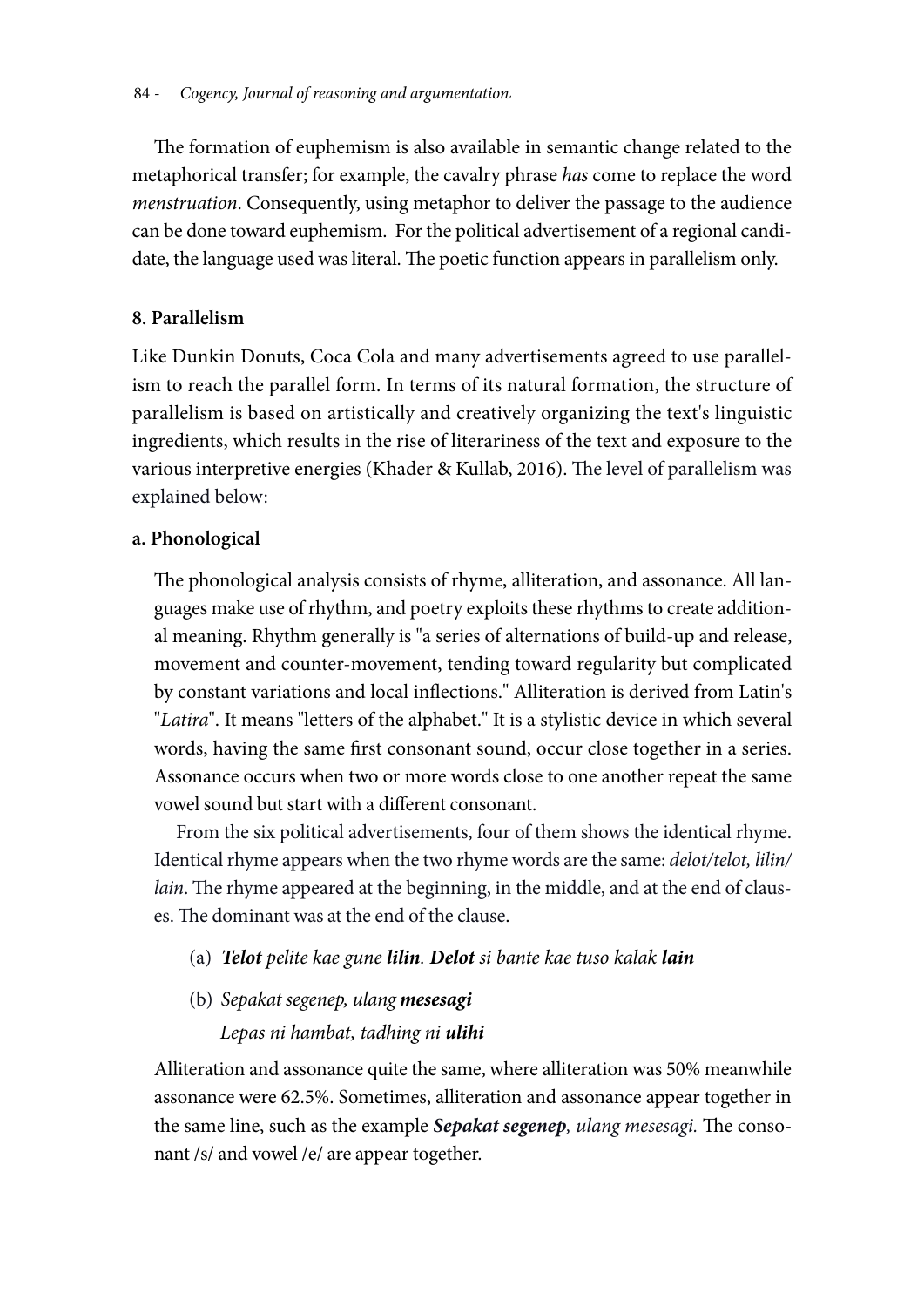The formation of euphemism is also available in semantic change related to the metaphorical transfer; for example, the cavalry phrase *has* come to replace the word *menstruation*. Consequently, using metaphor to deliver the passage to the audience can be done toward euphemism. For the political advertisement of a regional candidate, the language used was literal. The poetic function appears in parallelism only.

# **8. Parallelism**

Like Dunkin Donuts, Coca Cola and many advertisements agreed to use parallelism to reach the parallel form. In terms of its natural formation, the structure of parallelism is based on artistically and creatively organizing the text's linguistic ingredients, which results in the rise of literariness of the text and exposure to the various interpretive energies (Khader & Kullab, 2016). The level of parallelism was explained below:

# **a. Phonological**

The phonological analysis consists of rhyme, alliteration, and assonance. All languages make use of rhythm, and poetry exploits these rhythms to create additional meaning. Rhythm generally is "a series of alternations of build-up and release, movement and counter-movement, tending toward regularity but complicated by constant variations and local inflections." Alliteration is derived from Latin's "*Latira*". It means "letters of the alphabet." It is a stylistic device in which several words, having the same first consonant sound, occur close together in a series. Assonance occurs when two or more words close to one another repeat the same vowel sound but start with a different consonant.

From the six political advertisements, four of them shows the identical rhyme. Identical rhyme appears when the two rhyme words are the same: *delot/telot, lilin/ lain*. The rhyme appeared at the beginning, in the middle, and at the end of clauses. The dominant was at the end of the clause.

- (a) *Telot pelite kae gune lilin. Delot si bante kae tuso kalak lain*
- (b) *Sepakat segenep, ulang mesesagi Lepas ni hambat, tadhing ni ulihi*

Alliteration and assonance quite the same, where alliteration was 50% meanwhile assonance were 62.5%. Sometimes, alliteration and assonance appear together in the same line, such as the example *Sepakat segenep, ulang mesesagi.* The consonant /s/ and vowel /e/ are appear together.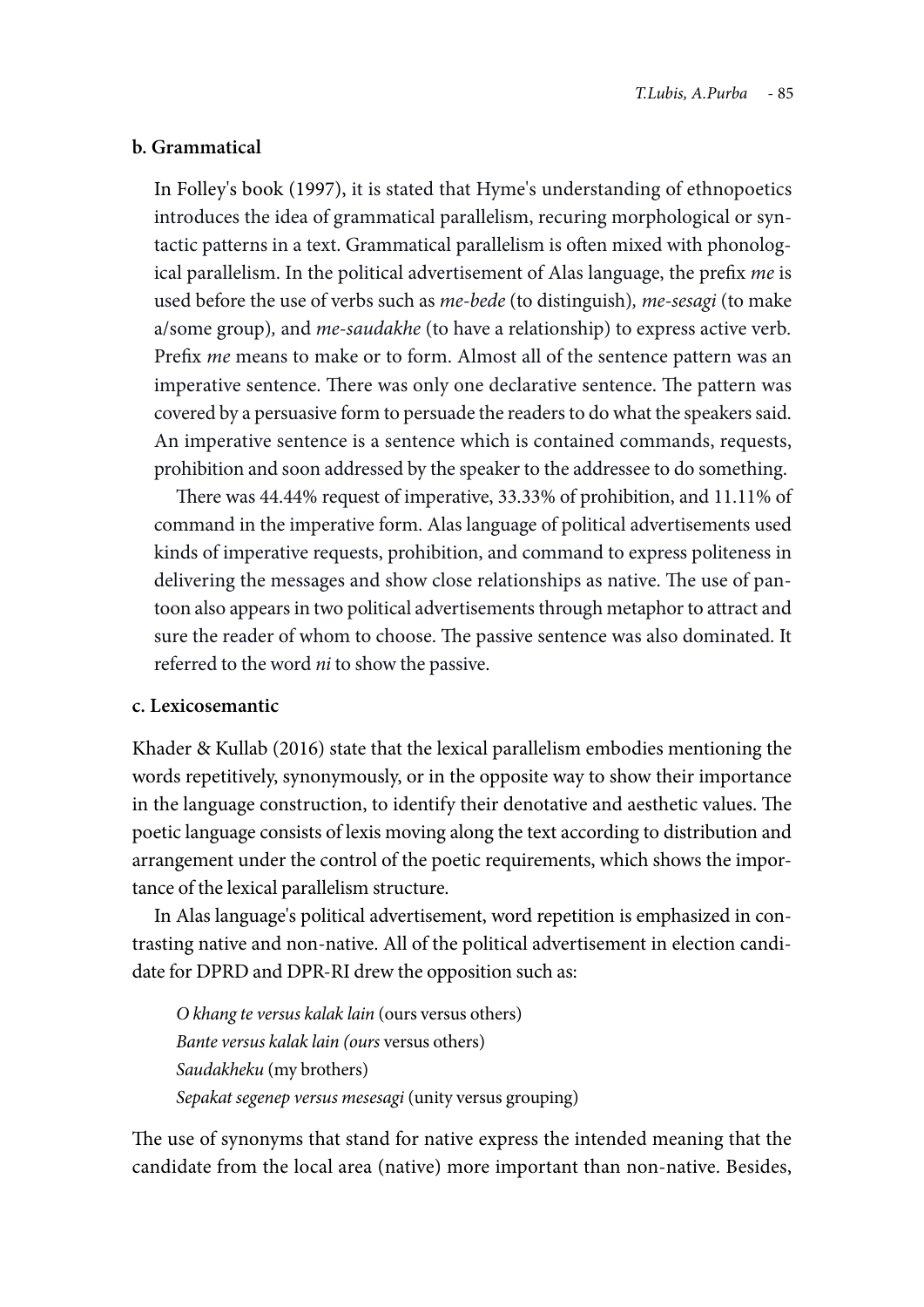#### **b. Grammatical**

In Folley's book (1997), it is stated that Hyme's understanding of ethnopoetics introduces the idea of grammatical parallelism, recuring morphological or syntactic patterns in a text. Grammatical parallelism is often mixed with phonological parallelism. In the political advertisement of Alas language, the prefix *me* is used before the use of verbs such as *me-bede* (to distinguish)*, me-sesagi* (to make a/some group)*,* and *me-saudakhe* (to have a relationship) to express active verb*.*  Prefix *me* means to make or to form. Almost all of the sentence pattern was an imperative sentence. There was only one declarative sentence. The pattern was covered by a persuasive form to persuade the readers to do what the speakers said. An imperative sentence is a sentence which is contained commands, requests, prohibition and soon addressed by the speaker to the addressee to do something.

There was 44.44% request of imperative, 33.33% of prohibition, and 11.11% of command in the imperative form. Alas language of political advertisements used kinds of imperative requests, prohibition, and command to express politeness in delivering the messages and show close relationships as native. The use of pantoon also appears in two political advertisements through metaphor to attract and sure the reader of whom to choose. The passive sentence was also dominated. It referred to the word *ni* to show the passive.

### **c. Lexicosemantic**

Khader & Kullab (2016) state that the lexical parallelism embodies mentioning the words repetitively, synonymously, or in the opposite way to show their importance in the language construction, to identify their denotative and aesthetic values. The poetic language consists of lexis moving along the text according to distribution and arrangement under the control of the poetic requirements, which shows the importance of the lexical parallelism structure.

In Alas language's political advertisement, word repetition is emphasized in contrasting native and non-native. All of the political advertisement in election candidate for DPRD and DPR-RI drew the opposition such as:

*O khang te versus kalak lain* (ours versus others) *Bante versus kalak lain (ours* versus others) *Saudakheku* (my brothers) *Sepakat segenep versus mesesagi* (unity versus grouping)

The use of synonyms that stand for native express the intended meaning that the candidate from the local area (native) more important than non-native. Besides,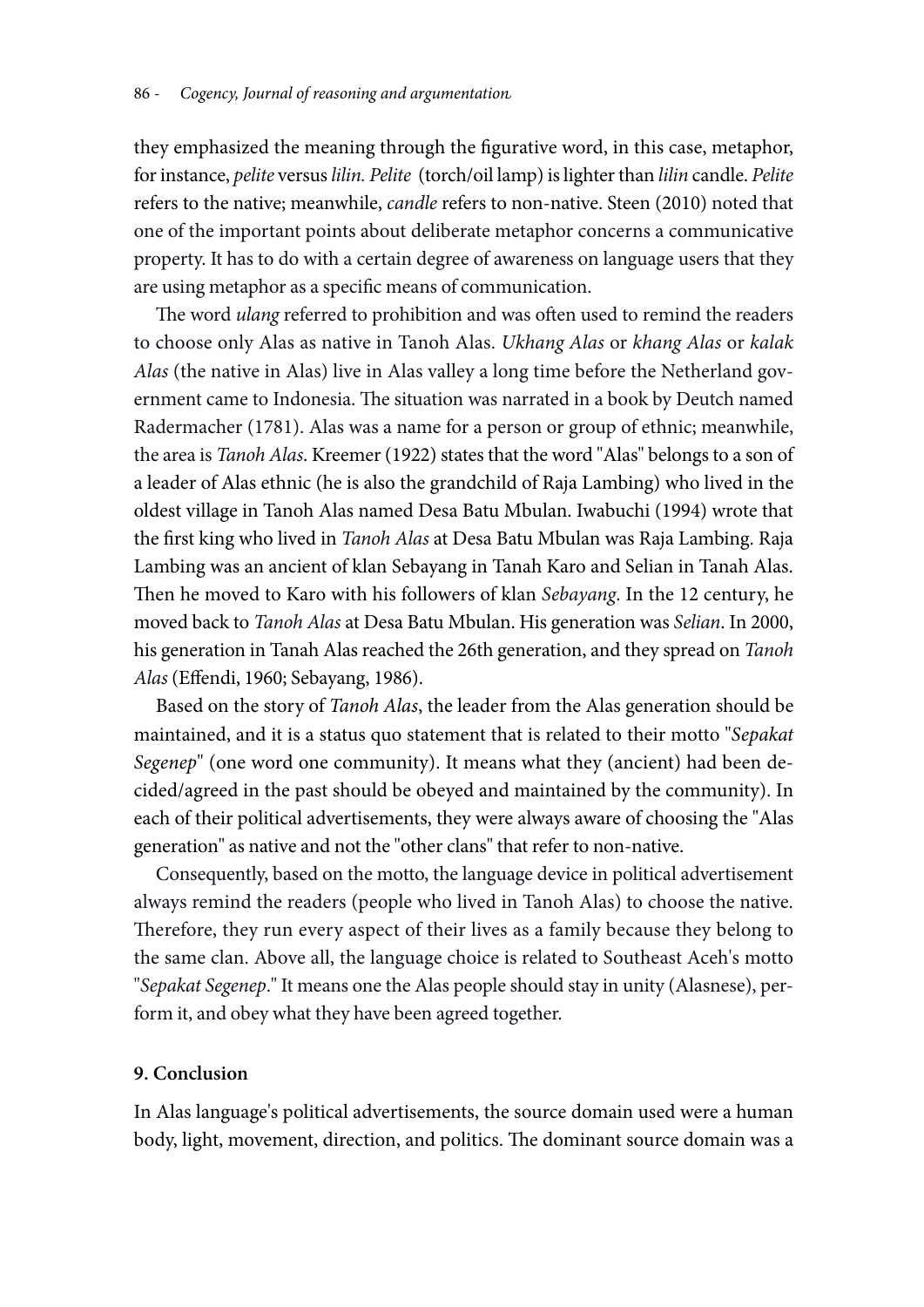they emphasized the meaning through the figurative word, in this case, metaphor, for instance, *pelite* versus *lilin. Pelite* (torch/oil lamp) is lighter than *lilin* candle. *Pelite* refers to the native; meanwhile, *candle* refers to non-native. Steen (2010) noted that one of the important points about deliberate metaphor concerns a communicative property. It has to do with a certain degree of awareness on language users that they are using metaphor as a specific means of communication.

The word *ulang* referred to prohibition and was often used to remind the readers to choose only Alas as native in Tanoh Alas. *Ukhang Alas* or *khang Alas* or *kalak Alas* (the native in Alas) live in Alas valley a long time before the Netherland government came to Indonesia. The situation was narrated in a book by Deutch named Radermacher (1781). Alas was a name for a person or group of ethnic; meanwhile, the area is *Tanoh Alas*. Kreemer (1922) states that the word "Alas" belongs to a son of a leader of Alas ethnic (he is also the grandchild of Raja Lambing) who lived in the oldest village in Tanoh Alas named Desa Batu Mbulan. Iwabuchi (1994) wrote that the first king who lived in *Tanoh Alas* at Desa Batu Mbulan was Raja Lambing. Raja Lambing was an ancient of klan Sebayang in Tanah Karo and Selian in Tanah Alas. Then he moved to Karo with his followers of klan *Sebayang*. In the 12 century, he moved back to *Tanoh Alas* at Desa Batu Mbulan. His generation was *Selian*. In 2000, his generation in Tanah Alas reached the 26th generation, and they spread on *Tanoh Alas* (Effendi, 1960; Sebayang, 1986).

Based on the story of *Tanoh Alas*, the leader from the Alas generation should be maintained, and it is a status quo statement that is related to their motto "*Sepakat Segenep*" (one word one community). It means what they (ancient) had been decided/agreed in the past should be obeyed and maintained by the community). In each of their political advertisements, they were always aware of choosing the "Alas generation" as native and not the "other clans" that refer to non-native.

Consequently, based on the motto, the language device in political advertisement always remind the readers (people who lived in Tanoh Alas) to choose the native. Therefore, they run every aspect of their lives as a family because they belong to the same clan. Above all, the language choice is related to Southeast Aceh's motto "*Sepakat Segenep*." It means one the Alas people should stay in unity (Alasnese), perform it, and obey what they have been agreed together.

## **9. Conclusion**

In Alas language's political advertisements, the source domain used were a human body, light, movement, direction, and politics. The dominant source domain was a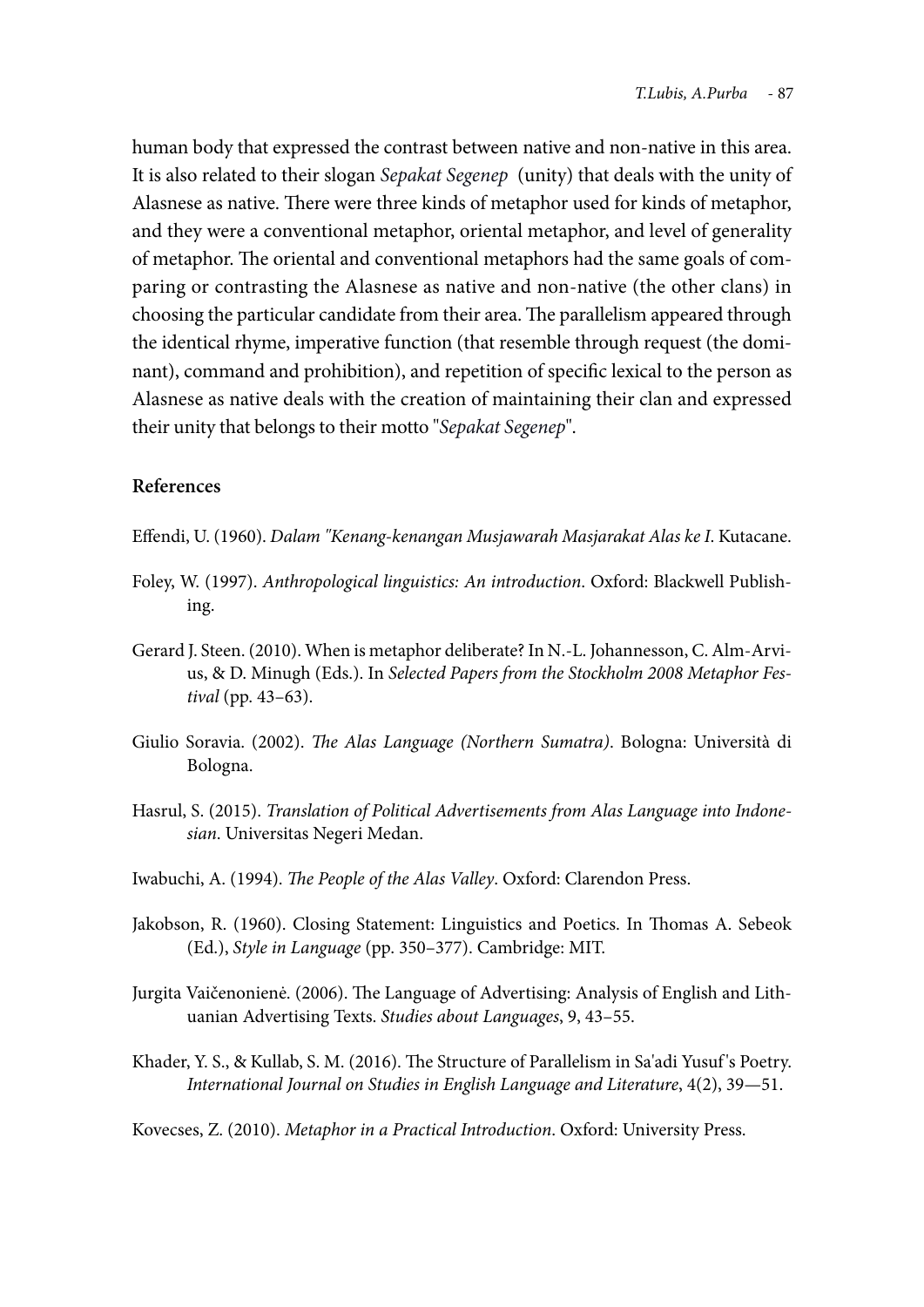human body that expressed the contrast between native and non-native in this area. It is also related to their slogan *Sepakat Segenep* (unity) that deals with the unity of Alasnese as native. There were three kinds of metaphor used for kinds of metaphor, and they were a conventional metaphor, oriental metaphor, and level of generality of metaphor. The oriental and conventional metaphors had the same goals of comparing or contrasting the Alasnese as native and non-native (the other clans) in choosing the particular candidate from their area. The parallelism appeared through the identical rhyme, imperative function (that resemble through request (the dominant), command and prohibition), and repetition of specific lexical to the person as Alasnese as native deals with the creation of maintaining their clan and expressed their unity that belongs to their motto "*Sepakat Segenep*".

### **References**

Effendi, U. (1960). *Dalam "Kenang-kenangan Musjawarah Masjarakat Alas ke I*. Kutacane.

- Foley, W. (1997). *Anthropological linguistics: An introduction*. Oxford: Blackwell Publishing.
- Gerard J. Steen. (2010). When is metaphor deliberate? In N.-L. Johannesson, C. Alm-Arvius, & D. Minugh (Eds.). In *Selected Papers from the Stockholm 2008 Metaphor Festival* (pp. 43–63).
- Giulio Soravia. (2002). *The Alas Language (Northern Sumatra)*. Bologna: Università di Bologna.
- Hasrul, S. (2015). *Translation of Political Advertisements from Alas Language into Indonesian*. Universitas Negeri Medan.
- Iwabuchi, A. (1994). *The People of the Alas Valley*. Oxford: Clarendon Press.
- Jakobson, R. (1960). Closing Statement: Linguistics and Poetics. In Thomas A. Sebeok (Ed.), *Style in Language* (pp. 350–377). Cambridge: MIT.
- Jurgita Vaičenonienė. (2006). The Language of Advertising: Analysis of English and Lithuanian Advertising Texts. *Studies about Languages*, 9, 43–55.
- Khader, Y. S., & Kullab, S. M. (2016). The Structure of Parallelism in Sa'adi Yusuf 's Poetry. *International Journal on Studies in English Language and Literature*, 4(2), 39—51.

Kovecses, Z. (2010). *Metaphor in a Practical Introduction*. Oxford: University Press.